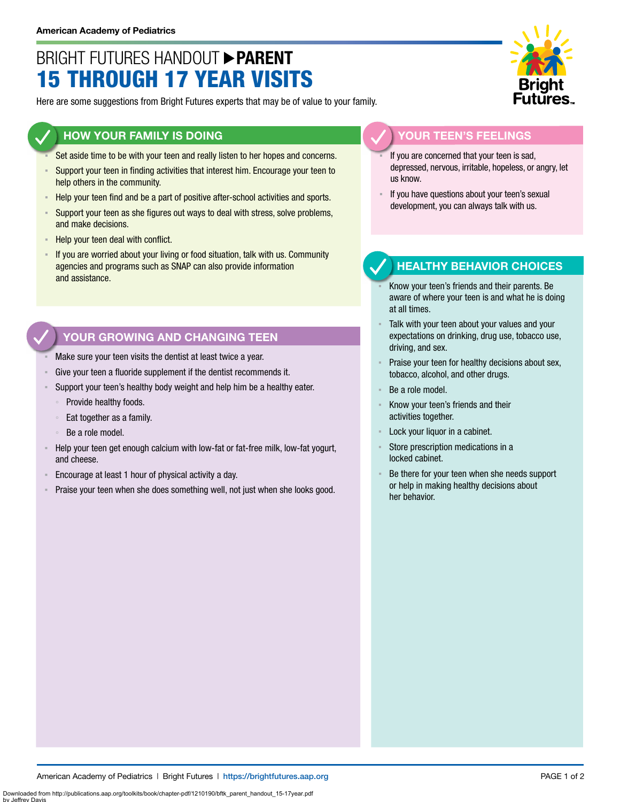# BRIGHT FUTURES HANDOUT **PARENT** 15 THROUGH 17 YEAR VISITS

Here are some suggestions from Bright Futures experts that may be of value to your family.

#### **HOW YOUR FAMILY IS DOING**

- Set aside time to be with your teen and really listen to her hopes and concerns.
- **EXECT** Support your teen in finding activities that interest him. Encourage your teen to help others in the community.
- Help your teen find and be a part of positive after-school activities and sports.
- Support your teen as she figures out ways to deal with stress, solve problems, and make decisions.
- Help your teen deal with conflict.
- If you are worried about your living or food situation, talk with us. Community agencies and programs such as SNAP can also provide information and assistance.

### **YOUR GROWING AND CHANGING TEEN**

- Make sure your teen visits the dentist at least twice a year.
- Give your teen a fluoride supplement if the dentist recommends it.
- Support your teen's healthy body weight and help him be a healthy eater.
	- Provide healthy foods.
	- Eat together as a family.
	- Be a role model.
- Help your teen get enough calcium with low-fat or fat-free milk, low-fat yogurt, and cheese.
- Encourage at least 1 hour of physical activity a day.
- Praise your teen when she does something well, not just when she looks good.



#### **YOUR TEEN'S FEELINGS**

- If you are concerned that your teen is sad, depressed, nervous, irritable, hopeless, or angry, let us know.
- If you have questions about your teen's sexual development, you can always talk with us.

### **HEALTHY BEHAVIOR CHOICES**

- Know your teen's friends and their parents. Be aware of where your teen is and what he is doing at all times.
- Talk with your teen about your values and your expectations on drinking, drug use, tobacco use, driving, and sex.
- Praise your teen for healthy decisions about sex, tobacco, alcohol, and other drugs.
- Be a role model.
- Know your teen's friends and their activities together.
- Lock your liquor in a cabinet.
- Store prescription medications in a locked cabinet.
- Be there for your teen when she needs support or help in making healthy decisions about her behavior.

American Academy of Pediatrics | Bright Futures | https://[brightfutures.aap.org](https://brightfutures.aap.org/Pages/default.aspx) PAGE 1 of 2